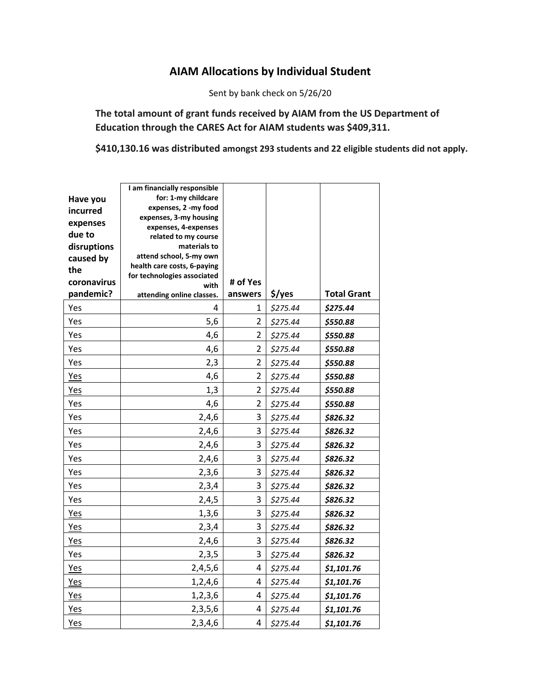## **AIAM Allocations by Individual Student**

Sent by bank check on 5/26/20

**The total amount of grant funds received by AIAM from the US Department of Education through the CARES Act for AIAM students was \$409,311.**

**\$410,130.16 was distributed amongst 293 students and 22 eligible students did not apply.**

| Have you<br>incurred<br>expenses<br>due to<br>disruptions<br>caused by<br>the<br>coronavirus | I am financially responsible<br>for: 1-my childcare<br>expenses, 2 -my food<br>expenses, 3-my housing<br>expenses, 4-expenses<br>related to my course<br>materials to<br>attend school, 5-my own<br>health care costs, 6-paying<br>for technologies associated<br>with | # of Yes       |          |                    |
|----------------------------------------------------------------------------------------------|------------------------------------------------------------------------------------------------------------------------------------------------------------------------------------------------------------------------------------------------------------------------|----------------|----------|--------------------|
| pandemic?                                                                                    | attending online classes.                                                                                                                                                                                                                                              | answers        | \$/yes   | <b>Total Grant</b> |
| Yes                                                                                          | 4                                                                                                                                                                                                                                                                      | 1              | \$275.44 | \$275.44           |
| Yes                                                                                          | 5,6                                                                                                                                                                                                                                                                    | $\overline{2}$ | \$275.44 | \$550.88           |
| Yes                                                                                          | 4,6                                                                                                                                                                                                                                                                    | $\overline{2}$ | \$275.44 | \$550.88           |
| Yes                                                                                          | 4,6                                                                                                                                                                                                                                                                    | $\overline{2}$ | \$275.44 | \$550.88           |
| Yes                                                                                          | 2,3                                                                                                                                                                                                                                                                    | $\overline{2}$ | \$275.44 | \$550.88           |
| Yes                                                                                          | 4,6                                                                                                                                                                                                                                                                    | $\overline{2}$ | \$275.44 | \$550.88           |
| <b>Yes</b>                                                                                   | 1,3                                                                                                                                                                                                                                                                    | $\overline{2}$ | \$275.44 | \$550.88           |
| Yes                                                                                          | 4,6                                                                                                                                                                                                                                                                    | $\overline{2}$ | \$275.44 | \$550.88           |
| Yes                                                                                          | 2,4,6                                                                                                                                                                                                                                                                  | 3              | \$275.44 | \$826.32           |
| Yes                                                                                          | 2,4,6                                                                                                                                                                                                                                                                  | 3              | \$275.44 | \$826.32           |
| Yes                                                                                          | 2,4,6                                                                                                                                                                                                                                                                  | 3              | \$275.44 | \$826.32           |
| Yes                                                                                          | 2,4,6                                                                                                                                                                                                                                                                  | 3              | \$275.44 | \$826.32           |
| Yes                                                                                          | 2,3,6                                                                                                                                                                                                                                                                  | 3              | \$275.44 | \$826.32           |
| Yes                                                                                          | 2,3,4                                                                                                                                                                                                                                                                  | 3              | \$275.44 | \$826.32           |
| Yes                                                                                          | 2,4,5                                                                                                                                                                                                                                                                  | 3              | \$275.44 | \$826.32           |
| <b>Yes</b>                                                                                   | 1,3,6                                                                                                                                                                                                                                                                  | 3              | \$275.44 | \$826.32           |
| <b>Yes</b>                                                                                   | 2,3,4                                                                                                                                                                                                                                                                  | 3              | \$275.44 | \$826.32           |
| <b>Yes</b>                                                                                   | 2,4,6                                                                                                                                                                                                                                                                  | 3              | \$275.44 | \$826.32           |
| Yes                                                                                          | 2,3,5                                                                                                                                                                                                                                                                  | 3              | \$275.44 | \$826.32           |
| Yes                                                                                          | 2,4,5,6                                                                                                                                                                                                                                                                | 4              | \$275.44 | \$1,101.76         |
| Yes                                                                                          | 1,2,4,6                                                                                                                                                                                                                                                                | 4              | \$275.44 | \$1,101.76         |
| <b>Yes</b>                                                                                   | 1, 2, 3, 6                                                                                                                                                                                                                                                             | 4              | \$275.44 | \$1,101.76         |
| Yes                                                                                          | 2, 3, 5, 6                                                                                                                                                                                                                                                             | 4              | \$275.44 | \$1,101.76         |
| Yes                                                                                          | 2,3,4,6                                                                                                                                                                                                                                                                | 4              | \$275.44 | \$1,101.76         |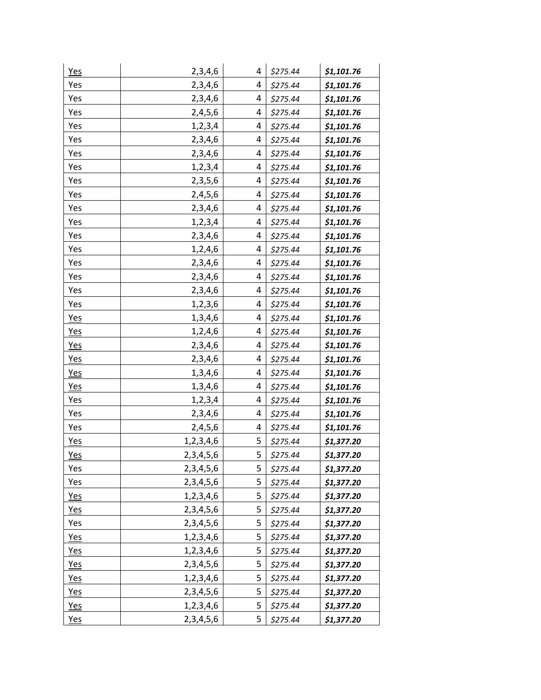| <b>Yes</b> | 2,3,4,6       | 4 | \$275.44 | \$1,101.76 |
|------------|---------------|---|----------|------------|
| Yes        | 2,3,4,6       | 4 | \$275.44 | \$1,101.76 |
| Yes        | 2,3,4,6       | 4 | \$275.44 | \$1,101.76 |
| Yes        | 2,4,5,6       | 4 | \$275.44 | \$1,101.76 |
| Yes        | 1,2,3,4       | 4 | \$275.44 | \$1,101.76 |
| Yes        | 2,3,4,6       | 4 | \$275.44 | \$1,101.76 |
| Yes        | 2,3,4,6       | 4 | \$275.44 | \$1,101.76 |
| Yes        | 1,2,3,4       | 4 | \$275.44 | \$1,101.76 |
| Yes        | 2,3,5,6       | 4 | \$275.44 | \$1,101.76 |
| Yes        | 2,4,5,6       | 4 | \$275.44 | \$1,101.76 |
| Yes        | 2,3,4,6       | 4 | \$275.44 | \$1,101.76 |
| Yes        | 1,2,3,4       | 4 | \$275.44 | \$1,101.76 |
| Yes        | 2,3,4,6       | 4 | \$275.44 | \$1,101.76 |
| Yes        | 1,2,4,6       | 4 | \$275.44 | \$1,101.76 |
| Yes        | 2,3,4,6       | 4 | \$275.44 | \$1,101.76 |
| Yes        | 2,3,4,6       | 4 | \$275.44 | \$1,101.76 |
| Yes        | 2,3,4,6       | 4 | \$275.44 | \$1,101.76 |
| Yes        | 1,2,3,6       | 4 | \$275.44 | \$1,101.76 |
| <b>Yes</b> | 1,3,4,6       | 4 | \$275.44 | \$1,101.76 |
| <b>Yes</b> | 1,2,4,6       | 4 | \$275.44 | \$1,101.76 |
| Yes        | 2,3,4,6       | 4 | \$275.44 | \$1,101.76 |
| <b>Yes</b> | 2,3,4,6       | 4 | \$275.44 | \$1,101.76 |
| Yes        | 1,3,4,6       | 4 | \$275.44 | \$1,101.76 |
| Yes        | 1,3,4,6       | 4 | \$275.44 | \$1,101.76 |
| Yes        | 1,2,3,4       | 4 | \$275.44 | \$1,101.76 |
| Yes        | 2,3,4,6       | 4 | \$275.44 | \$1,101.76 |
| Yes        | 2,4,5,6       | 4 | \$275.44 | \$1,101.76 |
| <b>Yes</b> | 1,2,3,4,6     | 5 | \$275.44 | \$1,377.20 |
| Yes        | 2, 3, 4, 5, 6 | 5 | \$275.44 | \$1,377.20 |
| Yes        | 2, 3, 4, 5, 6 | 5 | \$275.44 | \$1,377.20 |
| Yes        | 2, 3, 4, 5, 6 | 5 | \$275.44 | \$1,377.20 |
| Yes        | 1,2,3,4,6     | 5 | \$275.44 | \$1,377.20 |
| Yes        | 2, 3, 4, 5, 6 | 5 | \$275.44 | \$1,377.20 |
| Yes        | 2, 3, 4, 5, 6 | 5 | \$275.44 | \$1,377.20 |
| Yes        | 1,2,3,4,6     | 5 | \$275.44 | \$1,377.20 |
| <b>Yes</b> | 1, 2, 3, 4, 6 | 5 | \$275.44 | \$1,377.20 |
| <u>Yes</u> | 2, 3, 4, 5, 6 | 5 | \$275.44 | \$1,377.20 |
| <u>Yes</u> | 1,2,3,4,6     | 5 | \$275.44 | \$1,377.20 |
| <u>Yes</u> | 2, 3, 4, 5, 6 | 5 | \$275.44 | \$1,377.20 |
| <u>Yes</u> | 1,2,3,4,6     | 5 | \$275.44 | \$1,377.20 |
| <b>Yes</b> | 2,3,4,5,6     | 5 | \$275.44 | \$1,377.20 |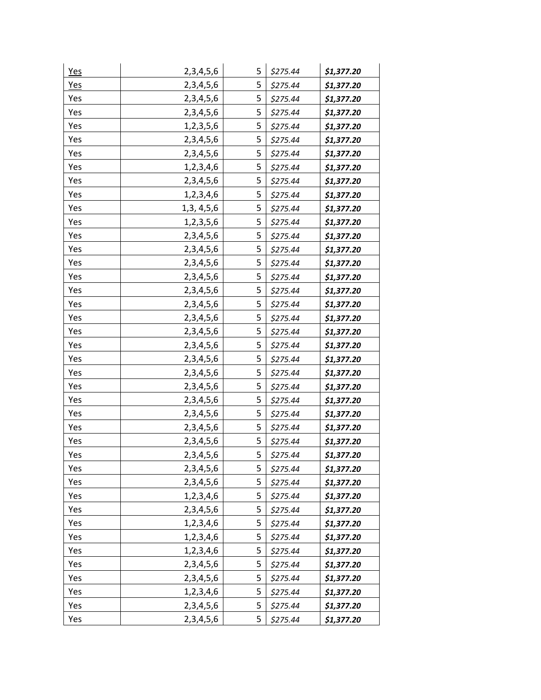| <b>Yes</b> | 2, 3, 4, 5, 6 | 5 | \$275.44 | \$1,377.20 |
|------------|---------------|---|----------|------------|
| Yes        | 2, 3, 4, 5, 6 | 5 | \$275.44 | \$1,377.20 |
| Yes        | 2, 3, 4, 5, 6 | 5 | \$275.44 | \$1,377.20 |
| Yes        | 2, 3, 4, 5, 6 | 5 | \$275.44 | \$1,377.20 |
| Yes        | 1,2,3,5,6     | 5 | \$275.44 | \$1,377.20 |
| Yes        | 2, 3, 4, 5, 6 | 5 | \$275.44 | \$1,377.20 |
| Yes        | 2, 3, 4, 5, 6 | 5 | \$275.44 | \$1,377.20 |
| Yes        | 1,2,3,4,6     | 5 | \$275.44 | \$1,377.20 |
| Yes        | 2, 3, 4, 5, 6 | 5 | \$275.44 | \$1,377.20 |
| Yes        | 1,2,3,4,6     | 5 | \$275.44 | \$1,377.20 |
| Yes        | 1,3, 4,5,6    | 5 | \$275.44 | \$1,377.20 |
| Yes        | 1,2,3,5,6     | 5 | \$275.44 | \$1,377.20 |
| Yes        | 2, 3, 4, 5, 6 | 5 | \$275.44 | \$1,377.20 |
| Yes        | 2,3,4,5,6     | 5 | \$275.44 | \$1,377.20 |
| Yes        | 2, 3, 4, 5, 6 | 5 | \$275.44 | \$1,377.20 |
| Yes        | 2,3,4,5,6     | 5 | \$275.44 | \$1,377.20 |
| Yes        | 2,3,4,5,6     | 5 | \$275.44 | \$1,377.20 |
| Yes        | 2, 3, 4, 5, 6 | 5 | \$275.44 | \$1,377.20 |
| Yes        | 2,3,4,5,6     | 5 | \$275.44 | \$1,377.20 |
| Yes        | 2, 3, 4, 5, 6 | 5 | \$275.44 | \$1,377.20 |
| Yes        | 2,3,4,5,6     | 5 | \$275.44 | \$1,377.20 |
| Yes        | 2,3,4,5,6     | 5 | \$275.44 | \$1,377.20 |
| Yes        | 2,3,4,5,6     | 5 | \$275.44 | \$1,377.20 |
| Yes        | 2,3,4,5,6     | 5 | \$275.44 | \$1,377.20 |
| Yes        | 2, 3, 4, 5, 6 | 5 | \$275.44 | \$1,377.20 |
| Yes        | 2,3,4,5,6     | 5 | \$275.44 | \$1,377.20 |
| Yes        | 2, 3, 4, 5, 6 | 5 | \$275.44 | \$1,377.20 |
| Yes        | 2,3,4,5,6     | 5 | \$275.44 | \$1,377.20 |
| Yes        | 2, 3, 4, 5, 6 | 5 | \$275.44 | \$1,377.20 |
| Yes        | 2,3,4,5,6     | 5 | \$275.44 | \$1,377.20 |
| Yes        | 2, 3, 4, 5, 6 | 5 | \$275.44 | \$1,377.20 |
| Yes        | 1,2,3,4,6     | 5 | \$275.44 | \$1,377.20 |
| Yes        | 2,3,4,5,6     | 5 | \$275.44 | \$1,377.20 |
| Yes        | 1,2,3,4,6     | 5 | \$275.44 | \$1,377.20 |
| Yes        | 1,2,3,4,6     | 5 | \$275.44 | \$1,377.20 |
| Yes        | 1,2,3,4,6     | 5 | \$275.44 | \$1,377.20 |
| Yes        | 2, 3, 4, 5, 6 | 5 | \$275.44 | \$1,377.20 |
| Yes        | 2, 3, 4, 5, 6 | 5 | \$275.44 | \$1,377.20 |
| Yes        | 1,2,3,4,6     | 5 | \$275.44 | \$1,377.20 |
| Yes        | 2,3,4,5,6     | 5 | \$275.44 | \$1,377.20 |
| Yes        | 2, 3, 4, 5, 6 | 5 | \$275.44 | \$1,377.20 |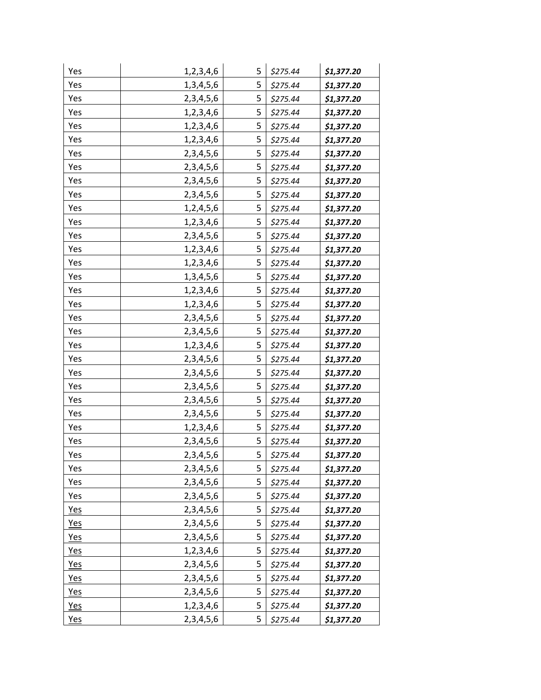| Yes        | 1,2,3,4,6     | 5 | \$275.44 | \$1,377.20 |
|------------|---------------|---|----------|------------|
| Yes        | 1,3,4,5,6     | 5 | \$275.44 | \$1,377.20 |
| Yes        | 2, 3, 4, 5, 6 | 5 | \$275.44 | \$1,377.20 |
| Yes        | 1,2,3,4,6     | 5 | \$275.44 | \$1,377.20 |
| Yes        | 1,2,3,4,6     | 5 | \$275.44 | \$1,377.20 |
| Yes        | 1,2,3,4,6     | 5 | \$275.44 | \$1,377.20 |
| Yes        | 2,3,4,5,6     | 5 | \$275.44 | \$1,377.20 |
| Yes        | 2, 3, 4, 5, 6 | 5 | \$275.44 | \$1,377.20 |
| Yes        | 2, 3, 4, 5, 6 | 5 | \$275.44 | \$1,377.20 |
| Yes        | 2,3,4,5,6     | 5 | \$275.44 | \$1,377.20 |
| Yes        | 1,2,4,5,6     | 5 | \$275.44 | \$1,377.20 |
| Yes        | 1,2,3,4,6     | 5 | \$275.44 | \$1,377.20 |
| Yes        | 2, 3, 4, 5, 6 | 5 | \$275.44 | \$1,377.20 |
| Yes        | 1,2,3,4,6     | 5 | \$275.44 | \$1,377.20 |
| Yes        | 1, 2, 3, 4, 6 | 5 | \$275.44 | \$1,377.20 |
| Yes        | 1,3,4,5,6     | 5 | \$275.44 | \$1,377.20 |
| Yes        | 1,2,3,4,6     | 5 | \$275.44 | \$1,377.20 |
| Yes        | 1,2,3,4,6     | 5 | \$275.44 | \$1,377.20 |
| Yes        | 2, 3, 4, 5, 6 | 5 | \$275.44 | \$1,377.20 |
| Yes        | 2,3,4,5,6     | 5 | \$275.44 | \$1,377.20 |
| Yes        | 1,2,3,4,6     | 5 | \$275.44 | \$1,377.20 |
| Yes        | 2, 3, 4, 5, 6 | 5 | \$275.44 | \$1,377.20 |
| Yes        | 2, 3, 4, 5, 6 | 5 | \$275.44 | \$1,377.20 |
| Yes        | 2, 3, 4, 5, 6 | 5 | \$275.44 | \$1,377.20 |
| Yes        | 2, 3, 4, 5, 6 | 5 | \$275.44 | \$1,377.20 |
| Yes        | 2,3,4,5,6     | 5 | \$275.44 | \$1,377.20 |
| Yes        | 1,2,3,4,6     | 5 | \$275.44 | \$1,377.20 |
| Yes        | 2,3,4,5,6     | 5 | \$275.44 | \$1,377.20 |
| Yes        | 2, 3, 4, 5, 6 | 5 | \$275.44 | \$1,377.20 |
| Yes        | 2, 3, 4, 5, 6 | 5 | \$275.44 | \$1,377.20 |
| Yes        | 2, 3, 4, 5, 6 | 5 | \$275.44 | \$1,377.20 |
| Yes        | 2, 3, 4, 5, 6 | 5 | \$275.44 | \$1,377.20 |
| Yes        | 2, 3, 4, 5, 6 | 5 | \$275.44 | \$1,377.20 |
| <b>Yes</b> | 2, 3, 4, 5, 6 | 5 | \$275.44 | \$1,377.20 |
| Yes        | 2,3,4,5,6     | 5 | \$275.44 | \$1,377.20 |
| <u>Yes</u> | 1,2,3,4,6     | 5 | \$275.44 | \$1,377.20 |
| <u>Yes</u> | 2, 3, 4, 5, 6 | 5 | \$275.44 | \$1,377.20 |
| <u>Yes</u> | 2, 3, 4, 5, 6 | 5 | \$275.44 | \$1,377.20 |
| <u>Yes</u> | 2, 3, 4, 5, 6 | 5 | \$275.44 | \$1,377.20 |
| <u>Yes</u> | 1,2,3,4,6     | 5 | \$275.44 | \$1,377.20 |
| Yes        | 2, 3, 4, 5, 6 | 5 | \$275.44 | \$1,377.20 |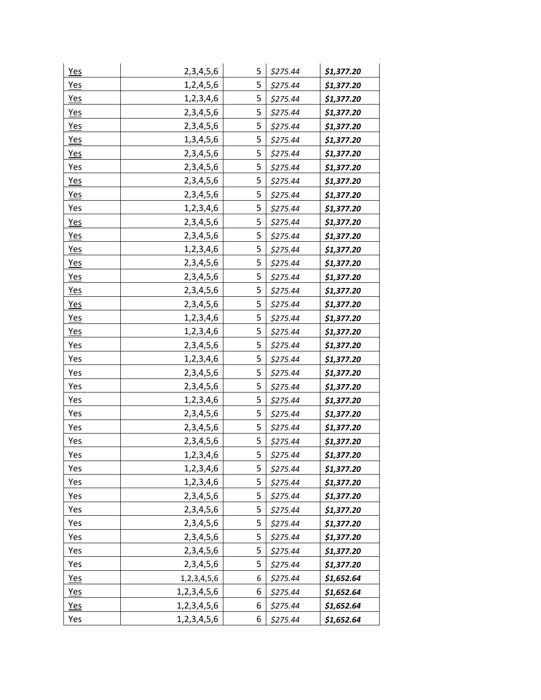| <u>Yes</u> | 2,3,4,5,6        | 5 | \$275.44 | \$1,377.20 |
|------------|------------------|---|----------|------------|
| <b>Yes</b> | 1,2,4,5,6        | 5 | \$275.44 | \$1,377.20 |
| <b>Yes</b> | 1,2,3,4,6        | 5 | \$275.44 | \$1,377.20 |
| <b>Yes</b> | 2,3,4,5,6        | 5 | \$275.44 | \$1,377.20 |
| Yes        | 2,3,4,5,6        | 5 | \$275.44 | \$1,377.20 |
| Yes        | 1, 3, 4, 5, 6    | 5 | \$275.44 | \$1,377.20 |
| Yes        | 2,3,4,5,6        | 5 | \$275.44 | \$1,377.20 |
| Yes        | 2, 3, 4, 5, 6    | 5 | \$275.44 | \$1,377.20 |
| Yes        | 2, 3, 4, 5, 6    | 5 | \$275.44 | \$1,377.20 |
| <b>Yes</b> | 2, 3, 4, 5, 6    | 5 | \$275.44 | \$1,377.20 |
| Yes        | 1,2,3,4,6        | 5 | \$275.44 | \$1,377.20 |
| Yes        | 2, 3, 4, 5, 6    | 5 | \$275.44 | \$1,377.20 |
| <b>Yes</b> | 2, 3, 4, 5, 6    | 5 | \$275.44 | \$1,377.20 |
| <b>Yes</b> | 1,2,3,4,6        | 5 | \$275.44 | \$1,377.20 |
| <b>Yes</b> | 2, 3, 4, 5, 6    | 5 | \$275.44 | \$1,377.20 |
| <b>Yes</b> | 2,3,4,5,6        | 5 | \$275.44 | \$1,377.20 |
| <b>Yes</b> | 2,3,4,5,6        | 5 | \$275.44 | \$1,377.20 |
| Yes        | 2, 3, 4, 5, 6    | 5 | \$275.44 | \$1,377.20 |
| <b>Yes</b> | 1,2,3,4,6        | 5 | \$275.44 | \$1,377.20 |
| Yes        | 1,2,3,4,6        | 5 | \$275.44 | \$1,377.20 |
| Yes        | 2,3,4,5,6        | 5 | \$275.44 | \$1,377.20 |
| Yes        | 1,2,3,4,6        | 5 | \$275.44 | \$1,377.20 |
| Yes        | 2,3,4,5,6        | 5 | \$275.44 | \$1,377.20 |
| Yes        | 2, 3, 4, 5, 6    | 5 | \$275.44 | \$1,377.20 |
| Yes        | 1,2,3,4,6        | 5 | \$275.44 | \$1,377.20 |
| Yes        | 2, 3, 4, 5, 6    | 5 | \$275.44 | \$1,377.20 |
| Yes        | 2, 3, 4, 5, 6    | 5 | \$275.44 | \$1,377.20 |
| Yes        | 2,3,4,5,6        | 5 | \$275.44 | \$1,377.20 |
| Yes        | 1,2,3,4,6        | 5 | \$275.44 | \$1,377.20 |
| Yes        | 1,2,3,4,6        | 5 | \$275.44 | \$1,377.20 |
| Yes        | 1,2,3,4,6        | 5 | \$275.44 | \$1,377.20 |
| Yes        | 2,3,4,5,6        | 5 | \$275.44 | \$1,377.20 |
| Yes        | 2, 3, 4, 5, 6    | 5 | \$275.44 | \$1,377.20 |
| Yes        | 2, 3, 4, 5, 6    | 5 | \$275.44 | \$1,377.20 |
| Yes        | 2,3,4,5,6        | 5 | \$275.44 | \$1,377.20 |
| Yes        | 2,3,4,5,6        | 5 | \$275.44 | \$1,377.20 |
| Yes        | 2, 3, 4, 5, 6    | 5 | \$275.44 | \$1,377.20 |
| Yes        | 1, 2, 3, 4, 5, 6 | 6 | \$275.44 | \$1,652.64 |
| Yes        | 1, 2, 3, 4, 5, 6 | 6 | \$275.44 | \$1,652.64 |
| <u>Yes</u> | 1, 2, 3, 4, 5, 6 | 6 | \$275.44 | \$1,652.64 |
| Yes        | 1, 2, 3, 4, 5, 6 | 6 | \$275.44 | \$1,652.64 |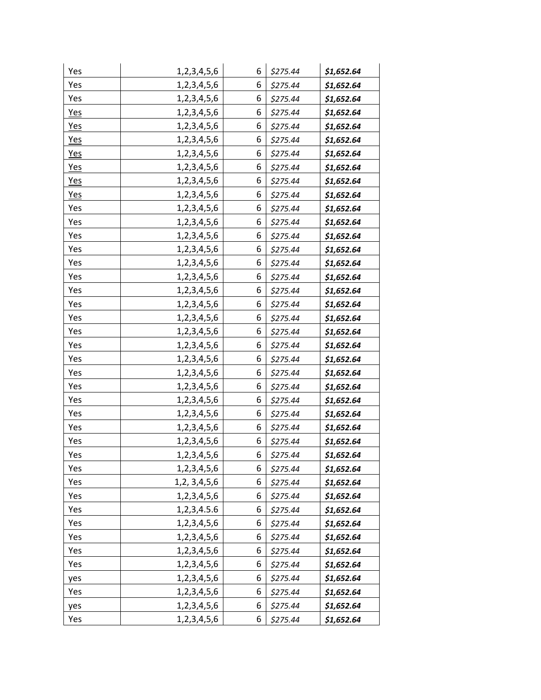| Yes        | 1, 2, 3, 4, 5, 6 | 6 | \$275.44 | \$1,652.64 |
|------------|------------------|---|----------|------------|
| Yes        | 1, 2, 3, 4, 5, 6 | 6 | \$275.44 | \$1,652.64 |
| Yes        | 1, 2, 3, 4, 5, 6 | 6 | \$275.44 | \$1,652.64 |
| <b>Yes</b> | 1, 2, 3, 4, 5, 6 | 6 | \$275.44 | \$1,652.64 |
| Yes        | 1,2,3,4,5,6      | 6 | \$275.44 | \$1,652.64 |
| <b>Yes</b> | 1, 2, 3, 4, 5, 6 | 6 | \$275.44 | \$1,652.64 |
| <b>Yes</b> | 1, 2, 3, 4, 5, 6 | 6 | \$275.44 | \$1,652.64 |
| <b>Yes</b> | 1, 2, 3, 4, 5, 6 | 6 | \$275.44 | \$1,652.64 |
| <u>Yes</u> | 1, 2, 3, 4, 5, 6 | 6 | \$275.44 | \$1,652.64 |
| Yes        | 1,2,3,4,5,6      | 6 | \$275.44 | \$1,652.64 |
| Yes        | 1,2,3,4,5,6      | 6 | \$275.44 | \$1,652.64 |
| Yes        | 1,2,3,4,5,6      | 6 | \$275.44 | \$1,652.64 |
| Yes        | 1,2,3,4,5,6      | 6 | \$275.44 | \$1,652.64 |
| Yes        | 1,2,3,4,5,6      | 6 | \$275.44 | \$1,652.64 |
| Yes        | 1, 2, 3, 4, 5, 6 | 6 | \$275.44 | \$1,652.64 |
| Yes        | 1,2,3,4,5,6      | 6 | \$275.44 | \$1,652.64 |
| Yes        | 1, 2, 3, 4, 5, 6 | 6 | \$275.44 | \$1,652.64 |
| Yes        | 1, 2, 3, 4, 5, 6 | 6 | \$275.44 | \$1,652.64 |
| Yes        | 1,2,3,4,5,6      | 6 | \$275.44 | \$1,652.64 |
| Yes        | 1, 2, 3, 4, 5, 6 | 6 | \$275.44 | \$1,652.64 |
| Yes        | 1,2,3,4,5,6      | 6 | \$275.44 | \$1,652.64 |
| Yes        | 1, 2, 3, 4, 5, 6 | 6 | \$275.44 | \$1,652.64 |
| Yes        | 1,2,3,4,5,6      | 6 | \$275.44 | \$1,652.64 |
| Yes        | 1,2,3,4,5,6      | 6 | \$275.44 | \$1,652.64 |
| Yes        | 1, 2, 3, 4, 5, 6 | 6 | \$275.44 | \$1,652.64 |
| Yes        | 1,2,3,4,5,6      | 6 | \$275.44 | \$1,652.64 |
| Yes        | 1, 2, 3, 4, 5, 6 | 6 | \$275.44 | \$1,652.64 |
| Yes        | 1, 2, 3, 4, 5, 6 | 6 | \$275.44 | \$1,652.64 |
| Yes        | 1, 2, 3, 4, 5, 6 | 6 | \$275.44 | \$1,652.64 |
| Yes        | 1, 2, 3, 4, 5, 6 | 6 | \$275.44 | \$1,652.64 |
| Yes        | 1,2, 3,4,5,6     | 6 | \$275.44 | \$1,652.64 |
| Yes        | 1, 2, 3, 4, 5, 6 | 6 | \$275.44 | \$1,652.64 |
| Yes        | 1,2,3,4.5.6      | 6 | \$275.44 | \$1,652.64 |
| Yes        | 1, 2, 3, 4, 5, 6 | 6 | \$275.44 | \$1,652.64 |
| Yes        | 1, 2, 3, 4, 5, 6 | 6 | \$275.44 | \$1,652.64 |
| Yes        | 1,2,3,4,5,6      | 6 | \$275.44 | \$1,652.64 |
| Yes        | 1, 2, 3, 4, 5, 6 | 6 | \$275.44 | \$1,652.64 |
| yes        | 1, 2, 3, 4, 5, 6 | 6 | \$275.44 | \$1,652.64 |
| Yes        | 1, 2, 3, 4, 5, 6 | 6 | \$275.44 | \$1,652.64 |
| yes        | 1,2,3,4,5,6      | 6 | \$275.44 | \$1,652.64 |
| Yes        | 1, 2, 3, 4, 5, 6 | 6 | \$275.44 | \$1,652.64 |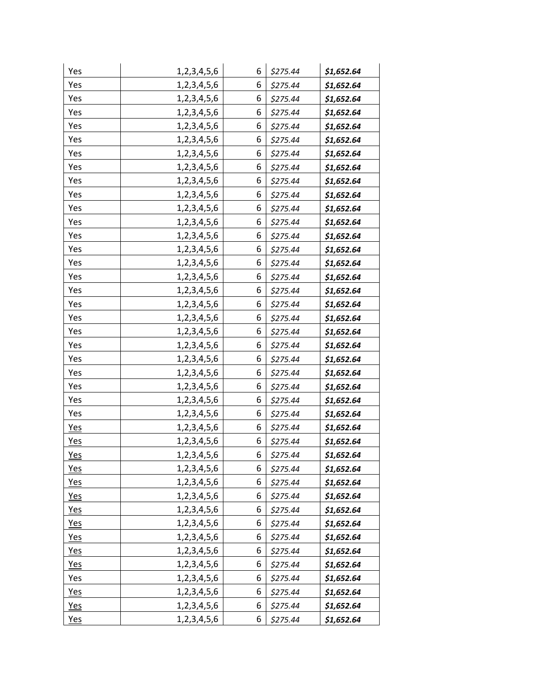| Yes        | 1, 2, 3, 4, 5, 6 | 6 | \$275.44 | \$1,652.64 |
|------------|------------------|---|----------|------------|
| Yes        | 1, 2, 3, 4, 5, 6 | 6 | \$275.44 | \$1,652.64 |
| Yes        | 1, 2, 3, 4, 5, 6 | 6 | \$275.44 | \$1,652.64 |
| Yes        | 1,2,3,4,5,6      | 6 | \$275.44 | \$1,652.64 |
| Yes        | 1, 2, 3, 4, 5, 6 | 6 | \$275.44 | \$1,652.64 |
| Yes        | 1, 2, 3, 4, 5, 6 | 6 | \$275.44 | \$1,652.64 |
| Yes        | 1, 2, 3, 4, 5, 6 | 6 | \$275.44 | \$1,652.64 |
| Yes        | 1, 2, 3, 4, 5, 6 | 6 | \$275.44 | \$1,652.64 |
| Yes        | 1, 2, 3, 4, 5, 6 | 6 | \$275.44 | \$1,652.64 |
| Yes        | 1,2,3,4,5,6      | 6 | \$275.44 | \$1,652.64 |
| Yes        | 1, 2, 3, 4, 5, 6 | 6 | \$275.44 | \$1,652.64 |
| Yes        | 1, 2, 3, 4, 5, 6 | 6 | \$275.44 | \$1,652.64 |
| Yes        | 1, 2, 3, 4, 5, 6 | 6 | \$275.44 | \$1,652.64 |
| Yes        | 1, 2, 3, 4, 5, 6 | 6 | \$275.44 | \$1,652.64 |
| Yes        | 1, 2, 3, 4, 5, 6 | 6 | \$275.44 | \$1,652.64 |
| Yes        | 1, 2, 3, 4, 5, 6 | 6 | \$275.44 | \$1,652.64 |
| Yes        | 1,2,3,4,5,6      | 6 | \$275.44 | \$1,652.64 |
| Yes        | 1, 2, 3, 4, 5, 6 | 6 | \$275.44 | \$1,652.64 |
| Yes        | 1, 2, 3, 4, 5, 6 | 6 | \$275.44 | \$1,652.64 |
| Yes        | 1, 2, 3, 4, 5, 6 | 6 | \$275.44 | \$1,652.64 |
| Yes        | 1, 2, 3, 4, 5, 6 | 6 | \$275.44 | \$1,652.64 |
| Yes        | 1, 2, 3, 4, 5, 6 | 6 | \$275.44 | \$1,652.64 |
| Yes        | 1, 2, 3, 4, 5, 6 | 6 | \$275.44 | \$1,652.64 |
| Yes        | 1, 2, 3, 4, 5, 6 | 6 | \$275.44 | \$1,652.64 |
| Yes        | 1, 2, 3, 4, 5, 6 | 6 | \$275.44 | \$1,652.64 |
| Yes        | 1, 2, 3, 4, 5, 6 | 6 | \$275.44 | \$1,652.64 |
| <b>Yes</b> | 1, 2, 3, 4, 5, 6 | 6 | \$275.44 | \$1,652.64 |
| <b>Yes</b> | 1, 2, 3, 4, 5, 6 | 6 | \$275.44 | \$1,652.64 |
| Yes        | 1, 2, 3, 4, 5, 6 | 6 | \$275.44 | \$1,652.64 |
| <b>Yes</b> | 1, 2, 3, 4, 5, 6 | 6 | \$275.44 | \$1,652.64 |
| <u>Yes</u> | 1, 2, 3, 4, 5, 6 | 6 | \$275.44 | \$1,652.64 |
| <u>Yes</u> | 1, 2, 3, 4, 5, 6 | 6 | \$275.44 | \$1,652.64 |
| Yes        | 1, 2, 3, 4, 5, 6 | 6 | \$275.44 | \$1,652.64 |
| <u>Yes</u> | 1, 2, 3, 4, 5, 6 | 6 | \$275.44 | \$1,652.64 |
| Yes        | 1, 2, 3, 4, 5, 6 | 6 | \$275.44 | \$1,652.64 |
| <u>Yes</u> | 1, 2, 3, 4, 5, 6 | 6 | \$275.44 | \$1,652.64 |
| <u>Yes</u> | 1, 2, 3, 4, 5, 6 | 6 | \$275.44 | \$1,652.64 |
| Yes        | 1, 2, 3, 4, 5, 6 | 6 | \$275.44 | \$1,652.64 |
| Yes        | 1, 2, 3, 4, 5, 6 | 6 | \$275.44 | \$1,652.64 |
| <u>Yes</u> | 1,2,3,4,5,6      | 6 | \$275.44 | \$1,652.64 |
| Yes        | 1, 2, 3, 4, 5, 6 | 6 | \$275.44 | \$1,652.64 |